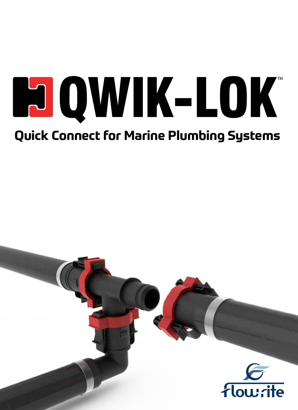# **POQWIK-LOK Quick Connect for Marine Plumbing Systems**

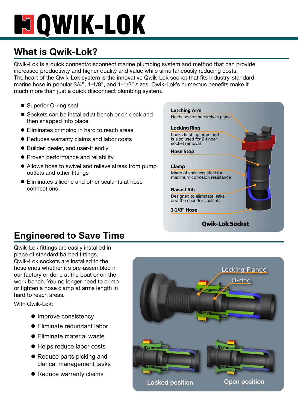## **POWIK-LOK**

## **What is Qwik-Lok?**

Qwik-Lok is a quick connect/disconnect marine plumbing system and method that can provide increased productivity and higher quality and value while simultaneously reducing costs. The heart of the Qwik-Lok system is the innovative Qwik-Lok socket that fits industry-standard marine hose in popular 3/4", 1-1/8", and 1-1/2" sizes. Qwik-Lok's numerous benefits make it much more than just a quick disconnect plumbing system.

- Superior O-ring seal
- Sockets can be installed at bench or on deck and then snapped into place
- Eliminates crimping in hard to reach areas
- Reduces warranty claims and labor costs
- Builder, dealer, and user-friendly
- Proven performance and reliability
- Allows hose to swivel and relieve stress from pump outlets and other fittings
- $\bullet$  Eliminates silicone and other sealants at hose connections

**Latching Arm**

Holds socket securely in place

#### **Locking Ring**

Locks latching arms and is also used for 2-finger socket removal

**Hose Stop**

#### **Clamp**

Made of stainless steel for maximum corrosion resistance

#### **Raised Rib**

Designed to eliminate leaks and the need for sealants

#### **1-1/8� Hose**

#### **Qwik-Lok Socket**

## **Engineered to Save Time**

Qwik-Lok fittings are easily installed in place of standard barbed fittings. Qwik-Lok sockets are installed to the hose ends whether it's pre-assembled in our factory or done at the boat or on the work bench. You no longer need to crimp or tighten a hose clamp at arms length in hard to reach areas.

With Qwik-Lok:

- Improve consistency
- **•** Eliminate redundant labor
- **•** Eliminate material waste
- Helps reduce labor costs
- $\bullet$  Reduce parts picking and clerical management tasks
- Reduce warranty claims

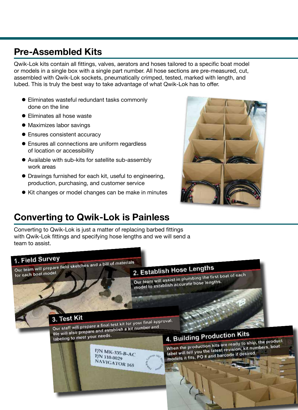### **Pre-Assembled Kits**

Qwik-Lok kits contain all fittings, valves, aerators and hoses tailored to a specific boat model or models in a single box with a single part number. All hose sections are pre-measured, cut, assembled with Qwik-Lok sockets, pneumatically crimped, tested, marked with length, and lubed. This is truly the best way to take advantage of what Qwik-Lok has to offer.

- $\bullet$  Eliminates wasteful redundant tasks commonly done on the line
- **•** Eliminates all hose waste
- Maximizes labor savings
- Ensures consistent accuracy
- Ensures all connections are uniform regardless of location or accessibility
- Available with sub-kits for satellite sub-assembly work areas
- $\bullet$  Drawings furnished for each kit, useful to engineering, production, purchasing, and customer service
- Kit changes or model changes can be make in minutes



## **Converting to Qwik-Lok is Painless**

Converting to Qwik-Lok is just a matter of replacing barbed fittings with Qwik-Lok fittings and specifying hose lengths and we will send a team to assist.